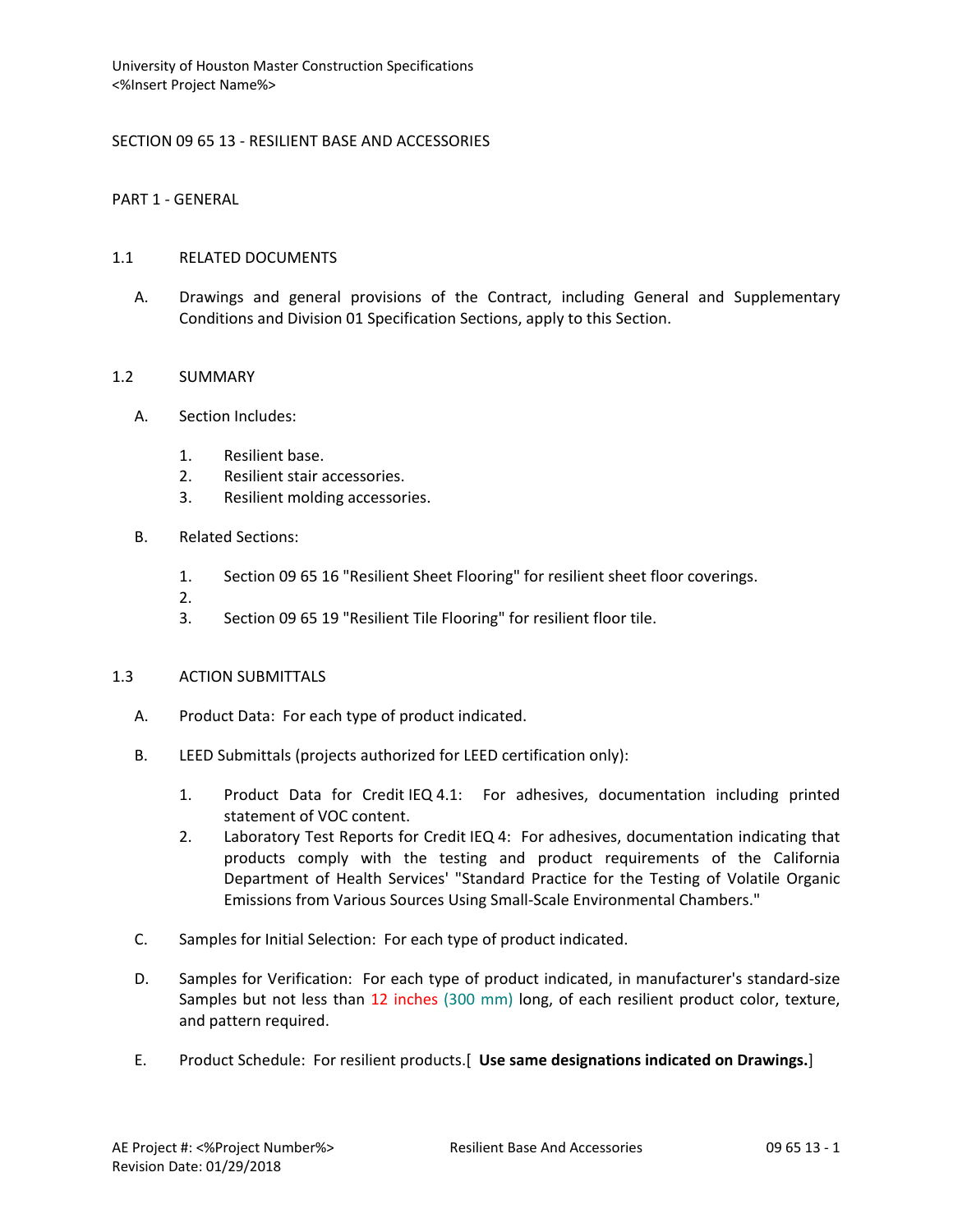# SECTION 09 65 13 - RESILIENT BASE AND ACCESSORIES

PART 1 - GENERAL

### 1.1 RELATED DOCUMENTS

A. Drawings and general provisions of the Contract, including General and Supplementary Conditions and Division 01 Specification Sections, apply to this Section.

### 1.2 SUMMARY

- A. Section Includes:
	- 1. Resilient base.
	- 2. Resilient stair accessories.
	- 3. Resilient molding accessories.
- B. Related Sections:
	- 1. Section 09 65 16 "Resilient Sheet Flooring" for resilient sheet floor coverings.
	- 2.
	- 3. Section 09 65 19 "Resilient Tile Flooring" for resilient floor tile.

#### 1.3 ACTION SUBMITTALS

- A. Product Data: For each type of product indicated.
- B. LEED Submittals (projects authorized for LEED certification only):
	- 1. Product Data for Credit IEQ 4.1: For adhesives, documentation including printed statement of VOC content.
	- 2. Laboratory Test Reports for Credit IEQ 4: For adhesives, documentation indicating that products comply with the testing and product requirements of the California Department of Health Services' "Standard Practice for the Testing of Volatile Organic Emissions from Various Sources Using Small-Scale Environmental Chambers."
- C. Samples for Initial Selection: For each type of product indicated.
- D. Samples for Verification: For each type of product indicated, in manufacturer's standard-size Samples but not less than 12 inches (300 mm) long, of each resilient product color, texture, and pattern required.
- E. Product Schedule: For resilient products.[ **Use same designations indicated on Drawings.**]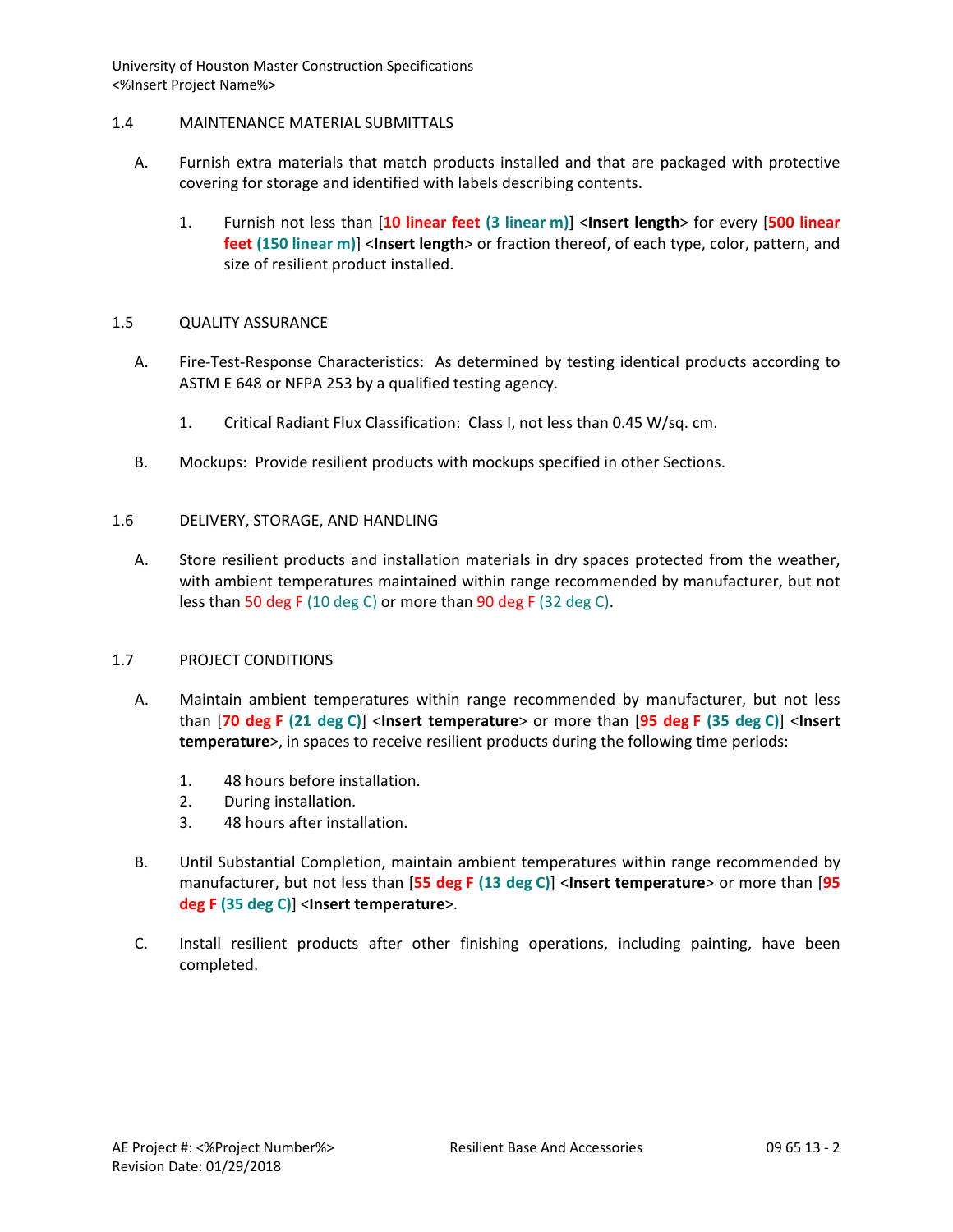## 1.4 MAINTENANCE MATERIAL SUBMITTALS

- A. Furnish extra materials that match products installed and that are packaged with protective covering for storage and identified with labels describing contents.
	- 1. Furnish not less than [**10 linear feet (3 linear m)**] <**Insert length**> for every [**500 linear feet (150 linear m)**] <**Insert length**> or fraction thereof, of each type, color, pattern, and size of resilient product installed.

## 1.5 QUALITY ASSURANCE

- A. Fire-Test-Response Characteristics: As determined by testing identical products according to ASTM E 648 or NFPA 253 by a qualified testing agency.
	- 1. Critical Radiant Flux Classification: Class I, not less than 0.45 W/sq. cm.
- B. Mockups: Provide resilient products with mockups specified in other Sections.

## 1.6 DELIVERY, STORAGE, AND HANDLING

A. Store resilient products and installation materials in dry spaces protected from the weather, with ambient temperatures maintained within range recommended by manufacturer, but not less than 50 deg F (10 deg C) or more than 90 deg F (32 deg C).

## 1.7 PROJECT CONDITIONS

- A. Maintain ambient temperatures within range recommended by manufacturer, but not less than [**70 deg F (21 deg C)**] <**Insert temperature**> or more than [**95 deg F (35 deg C)**] <**Insert temperature**>, in spaces to receive resilient products during the following time periods:
	- 1. 48 hours before installation.
	- 2. During installation.
	- 3. 48 hours after installation.
- B. Until Substantial Completion, maintain ambient temperatures within range recommended by manufacturer, but not less than [**55 deg F (13 deg C)**] <**Insert temperature**> or more than [**95 deg F (35 deg C)**] <**Insert temperature**>.
- C. Install resilient products after other finishing operations, including painting, have been completed.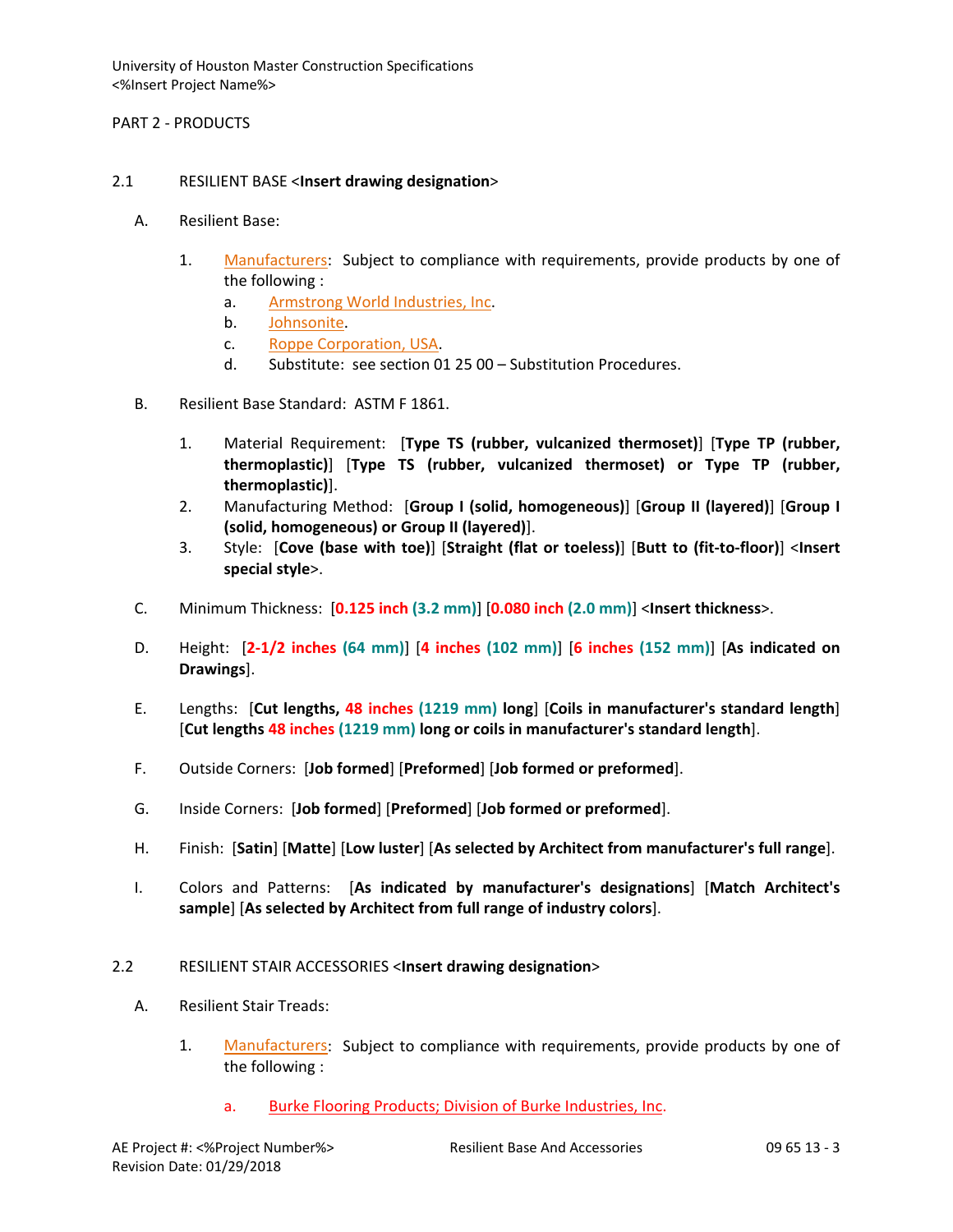PART 2 - PRODUCTS

## 2.1 RESILIENT BASE <**Insert drawing designation**>

- A. Resilient Base:
	- 1. [Manufacturers:](http://www.specagent.com/LookUp/?ulid=6279&mf=04&src=wd) Subject to compliance with requirements, provide products by one of the following :
		- a. [Armstrong World Industries, Inc.](http://www.specagent.com/LookUp/?uid=123456830765&mf=04&src=wd)
		- b. [Johnsonite.](http://www.specagent.com/LookUp/?uid=123456830770&mf=04&src=wd)
		- c. [Roppe Corporation, USA.](http://www.specagent.com/LookUp/?uid=123456830775&mf=04&src=wd)
		- d. Substitute: see section 01 25 00 Substitution Procedures.
- B. Resilient Base Standard: ASTM F 1861.
	- 1. Material Requirement: [**Type TS (rubber, vulcanized thermoset)**] [**Type TP (rubber, thermoplastic)**] [**Type TS (rubber, vulcanized thermoset) or Type TP (rubber, thermoplastic)**].
	- 2. Manufacturing Method: [**Group I (solid, homogeneous)**] [**Group II (layered)**] [**Group I (solid, homogeneous) or Group II (layered)**].
	- 3. Style: [**Cove (base with toe)**] [**Straight (flat or toeless)**] [**Butt to (fit-to-floor)**] <**Insert special style**>.
- C. Minimum Thickness: [**0.125 inch (3.2 mm)**] [**0.080 inch (2.0 mm)**] <**Insert thickness**>.
- D. Height: [**2-1/2 inches (64 mm)**] [**4 inches (102 mm)**] [**6 inches (152 mm)**] [**As indicated on Drawings**].
- E. Lengths: [**Cut lengths, 48 inches (1219 mm) long**] [**Coils in manufacturer's standard length**] [**Cut lengths 48 inches (1219 mm) long or coils in manufacturer's standard length**].
- F. Outside Corners: [**Job formed**] [**Preformed**] [**Job formed or preformed**].
- G. Inside Corners: [**Job formed**] [**Preformed**] [**Job formed or preformed**].
- H. Finish: [**Satin**] [**Matte**] [**Low luster**] [**As selected by Architect from manufacturer's full range**].
- I. Colors and Patterns: [**As indicated by manufacturer's designations**] [**Match Architect's sample**] [**As selected by Architect from full range of industry colors**].
- 2.2 RESILIENT STAIR ACCESSORIES <**Insert drawing designation**>
	- A. Resilient Stair Treads:
		- 1. [Manufacturers:](http://www.specagent.com/LookUp/?ulid=6280&mf=04&src=wd) Subject to compliance with requirements, provide products by one of the following :
			- a. Burke Flooring Products; Division of Burke Industries, Inc.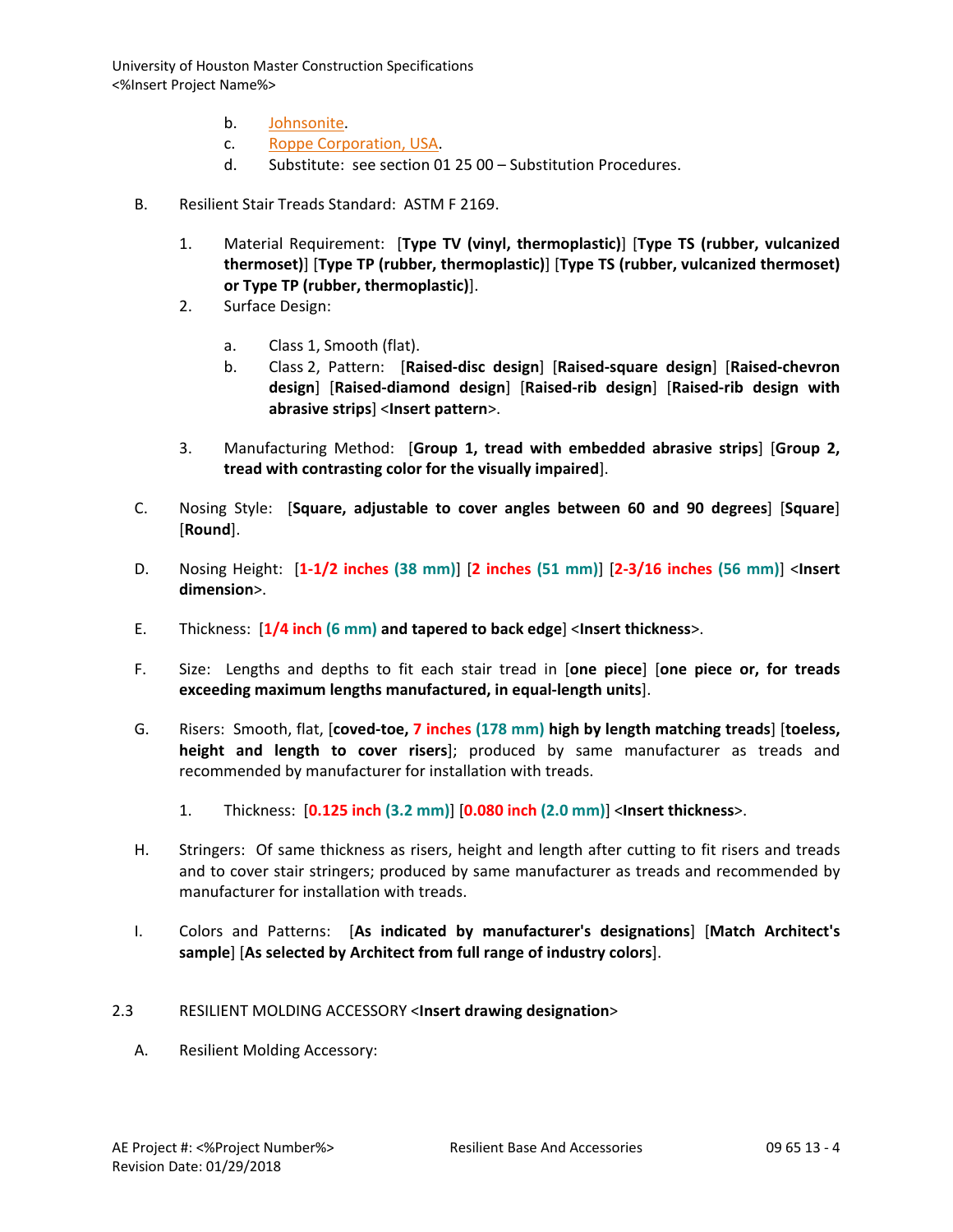- b. [Johnsonite.](http://www.specagent.com/LookUp/?uid=123456830781&mf=04&src=wd)
- c. [Roppe Corporation, USA.](http://www.specagent.com/LookUp/?uid=123456830787&mf=04&src=wd)
- d. Substitute: see section 01 25 00 Substitution Procedures.
- B. Resilient Stair Treads Standard: ASTM F 2169.
	- 1. Material Requirement: [**Type TV (vinyl, thermoplastic)**] [**Type TS (rubber, vulcanized thermoset)**] [**Type TP (rubber, thermoplastic)**] [**Type TS (rubber, vulcanized thermoset) or Type TP (rubber, thermoplastic)**].
	- 2. Surface Design:
		- a. Class 1, Smooth (flat).
		- b. Class 2, Pattern: [**Raised-disc design**] [**Raised-square design**] [**Raised-chevron design**] [**Raised-diamond design**] [**Raised-rib design**] [**Raised-rib design with abrasive strips**] <**Insert pattern**>.
	- 3. Manufacturing Method: [**Group 1, tread with embedded abrasive strips**] [**Group 2, tread with contrasting color for the visually impaired**].
- C. Nosing Style: [**Square, adjustable to cover angles between 60 and 90 degrees**] [**Square**] [**Round**].
- D. Nosing Height: [**1-1/2 inches (38 mm)**] [**2 inches (51 mm)**] [**2-3/16 inches (56 mm)**] <**Insert dimension**>.
- E. Thickness: [**1/4 inch (6 mm) and tapered to back edge**] <**Insert thickness**>.
- F. Size: Lengths and depths to fit each stair tread in [**one piece**] [**one piece or, for treads exceeding maximum lengths manufactured, in equal-length units**].
- G. Risers: Smooth, flat, [**coved-toe, 7 inches (178 mm) high by length matching treads**] [**toeless, height and length to cover risers**]; produced by same manufacturer as treads and recommended by manufacturer for installation with treads.
	- 1. Thickness: [**0.125 inch (3.2 mm)**] [**0.080 inch (2.0 mm)**] <**Insert thickness**>.
- H. Stringers: Of same thickness as risers, height and length after cutting to fit risers and treads and to cover stair stringers; produced by same manufacturer as treads and recommended by manufacturer for installation with treads.
- I. Colors and Patterns: [**As indicated by manufacturer's designations**] [**Match Architect's sample**] [**As selected by Architect from full range of industry colors**].
- 2.3 RESILIENT MOLDING ACCESSORY <**Insert drawing designation**>
	- A. Resilient Molding Accessory: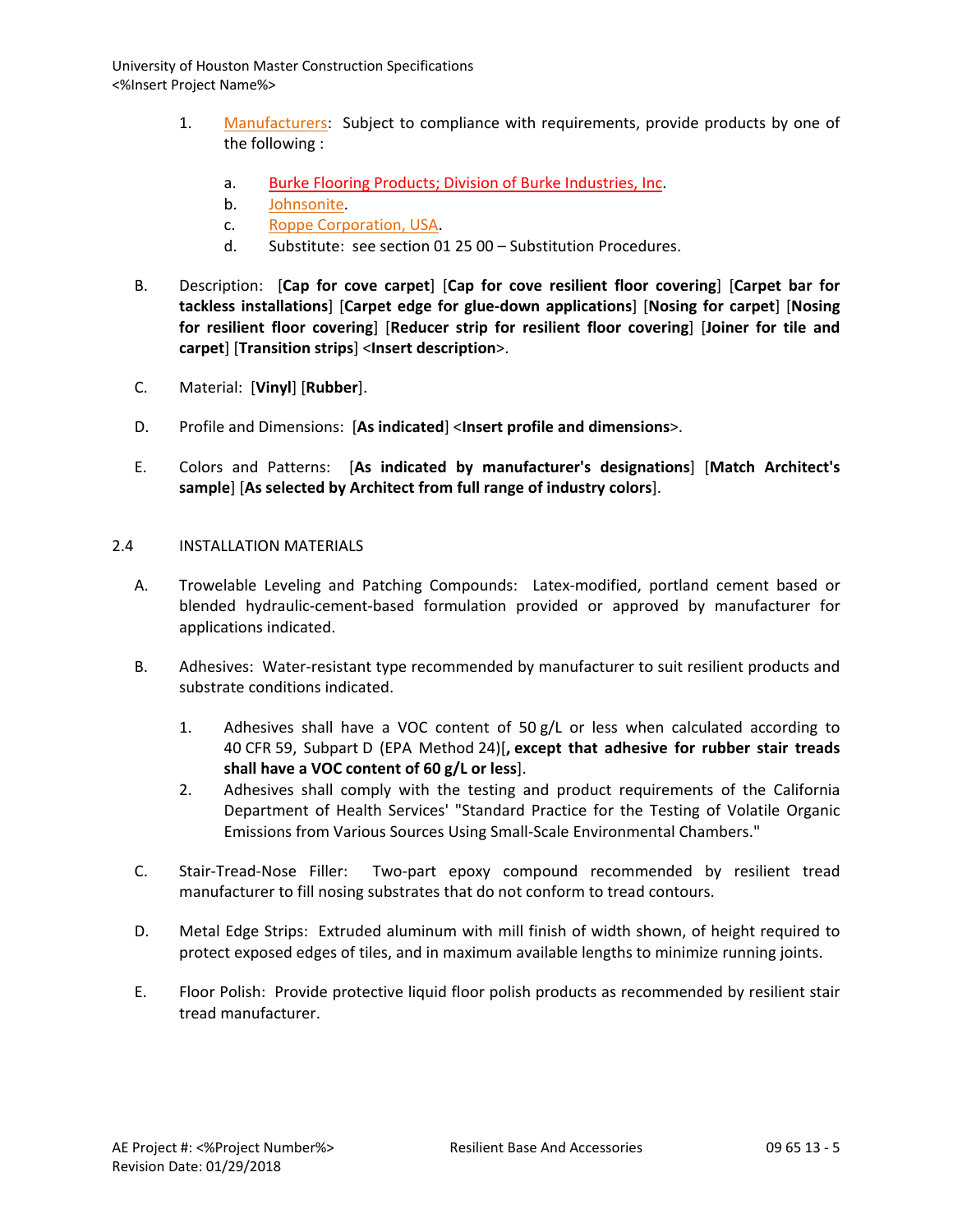- 1. [Manufacturers:](http://www.specagent.com/LookUp/?ulid=6281&mf=04&src=wd) Subject to compliance with requirements, provide products by one of the following :
	- a. Burke Flooring Products; Division of Burke Industries, Inc.
	- b. [Johnsonite.](http://www.specagent.com/LookUp/?uid=123456830791&mf=04&src=wd)
	- c. [Roppe Corporation, USA.](http://www.specagent.com/LookUp/?uid=123456830793&mf=04&src=wd)
	- d. Substitute: see section 01 25 00 Substitution Procedures.
- B. Description: [**Cap for cove carpet**] [**Cap for cove resilient floor covering**] [**Carpet bar for tackless installations**] [**Carpet edge for glue-down applications**] [**Nosing for carpet**] [**Nosing for resilient floor covering**] [**Reducer strip for resilient floor covering**] [**Joiner for tile and carpet**] [**Transition strips**] <**Insert description**>.
- C. Material: [**Vinyl**] [**Rubber**].
- D. Profile and Dimensions: [**As indicated**] <**Insert profile and dimensions**>.
- E. Colors and Patterns: [**As indicated by manufacturer's designations**] [**Match Architect's sample**] [**As selected by Architect from full range of industry colors**].

## 2.4 INSTALLATION MATERIALS

- A. Trowelable Leveling and Patching Compounds: Latex-modified, portland cement based or blended hydraulic-cement-based formulation provided or approved by manufacturer for applications indicated.
- B. Adhesives: Water-resistant type recommended by manufacturer to suit resilient products and substrate conditions indicated.
	- 1. Adhesives shall have a VOC content of 50 g/L or less when calculated according to 40 CFR 59, Subpart D (EPA Method 24)[**, except that adhesive for rubber stair treads shall have a VOC content of 60 g/L or less**].
	- 2. Adhesives shall comply with the testing and product requirements of the California Department of Health Services' "Standard Practice for the Testing of Volatile Organic Emissions from Various Sources Using Small-Scale Environmental Chambers."
- C. Stair-Tread-Nose Filler: Two-part epoxy compound recommended by resilient tread manufacturer to fill nosing substrates that do not conform to tread contours.
- D. Metal Edge Strips: Extruded aluminum with mill finish of width shown, of height required to protect exposed edges of tiles, and in maximum available lengths to minimize running joints.
- E. Floor Polish: Provide protective liquid floor polish products as recommended by resilient stair tread manufacturer.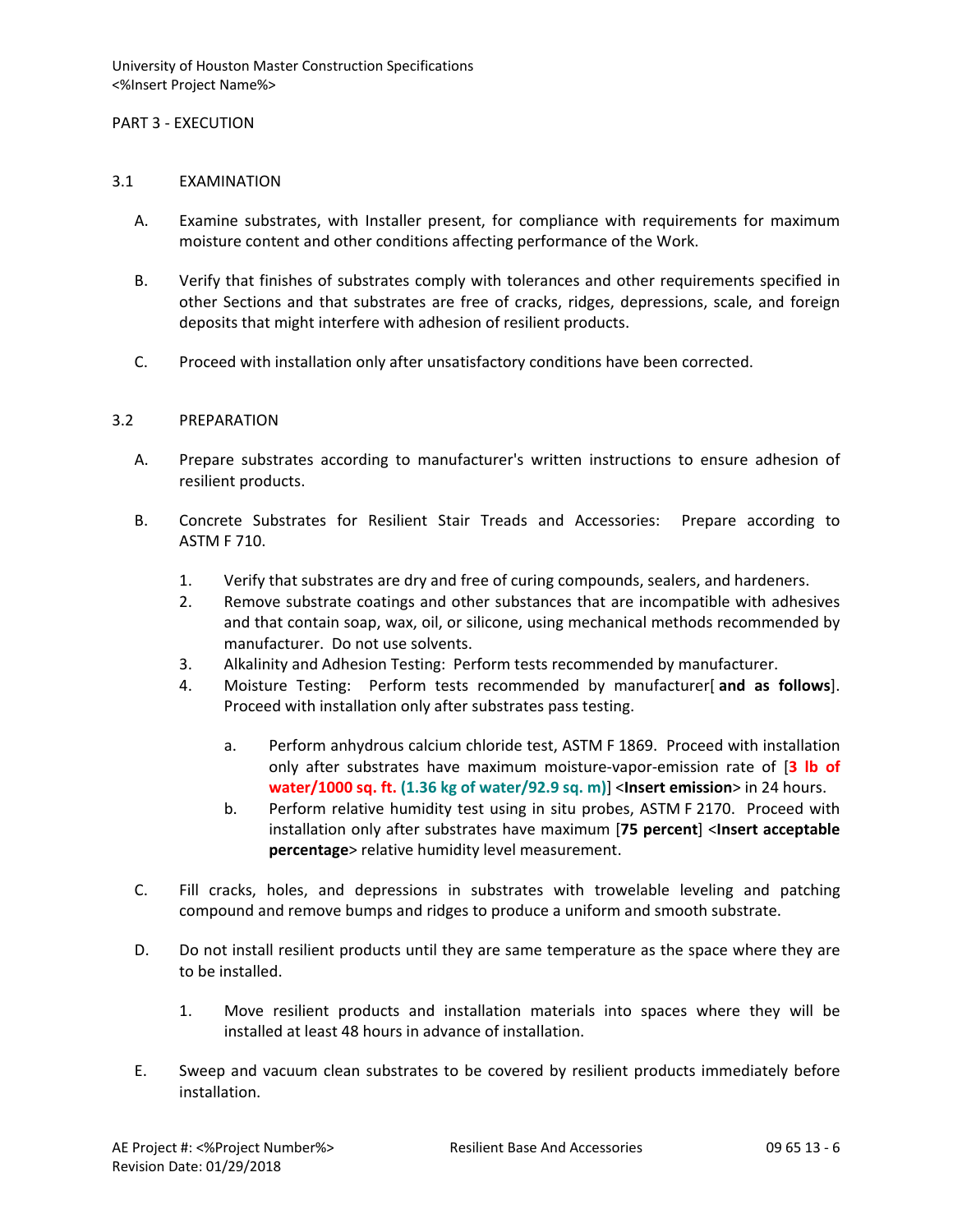### PART 3 - EXECUTION

#### 3.1 EXAMINATION

- A. Examine substrates, with Installer present, for compliance with requirements for maximum moisture content and other conditions affecting performance of the Work.
- B. Verify that finishes of substrates comply with tolerances and other requirements specified in other Sections and that substrates are free of cracks, ridges, depressions, scale, and foreign deposits that might interfere with adhesion of resilient products.
- C. Proceed with installation only after unsatisfactory conditions have been corrected.

#### 3.2 PREPARATION

- A. Prepare substrates according to manufacturer's written instructions to ensure adhesion of resilient products.
- B. Concrete Substrates for Resilient Stair Treads and Accessories: Prepare according to ASTM F 710.
	- 1. Verify that substrates are dry and free of curing compounds, sealers, and hardeners.
	- 2. Remove substrate coatings and other substances that are incompatible with adhesives and that contain soap, wax, oil, or silicone, using mechanical methods recommended by manufacturer. Do not use solvents.
	- 3. Alkalinity and Adhesion Testing: Perform tests recommended by manufacturer.
	- 4. Moisture Testing: Perform tests recommended by manufacturer[ **and as follows**]. Proceed with installation only after substrates pass testing.
		- a. Perform anhydrous calcium chloride test, ASTM F 1869. Proceed with installation only after substrates have maximum moisture-vapor-emission rate of [**3 lb of water/1000 sq. ft. (1.36 kg of water/92.9 sq. m)**] <**Insert emission**> in 24 hours.
		- b. Perform relative humidity test using in situ probes, ASTM F 2170. Proceed with installation only after substrates have maximum [**75 percent**] <**Insert acceptable percentage**> relative humidity level measurement.
- C. Fill cracks, holes, and depressions in substrates with trowelable leveling and patching compound and remove bumps and ridges to produce a uniform and smooth substrate.
- D. Do not install resilient products until they are same temperature as the space where they are to be installed.
	- 1. Move resilient products and installation materials into spaces where they will be installed at least 48 hours in advance of installation.
- E. Sweep and vacuum clean substrates to be covered by resilient products immediately before installation.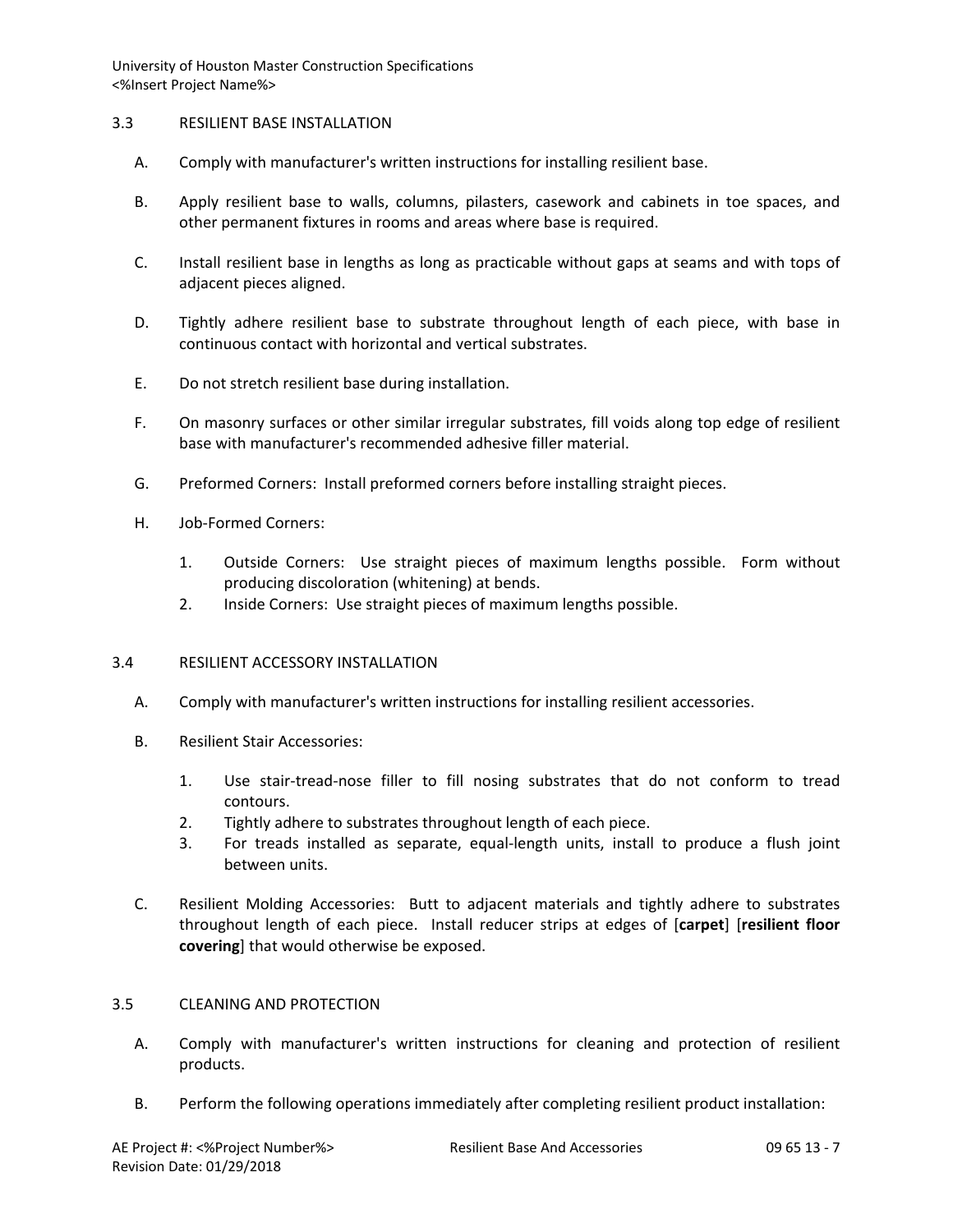## 3.3 RESILIENT BASE INSTALLATION

- A. Comply with manufacturer's written instructions for installing resilient base.
- B. Apply resilient base to walls, columns, pilasters, casework and cabinets in toe spaces, and other permanent fixtures in rooms and areas where base is required.
- C. Install resilient base in lengths as long as practicable without gaps at seams and with tops of adjacent pieces aligned.
- D. Tightly adhere resilient base to substrate throughout length of each piece, with base in continuous contact with horizontal and vertical substrates.
- E. Do not stretch resilient base during installation.
- F. On masonry surfaces or other similar irregular substrates, fill voids along top edge of resilient base with manufacturer's recommended adhesive filler material.
- G. Preformed Corners: Install preformed corners before installing straight pieces.
- H. Job-Formed Corners:
	- 1. Outside Corners: Use straight pieces of maximum lengths possible. Form without producing discoloration (whitening) at bends.
	- 2. Inside Corners: Use straight pieces of maximum lengths possible.

#### 3.4 RESILIENT ACCESSORY INSTALLATION

- A. Comply with manufacturer's written instructions for installing resilient accessories.
- B. Resilient Stair Accessories:
	- 1. Use stair-tread-nose filler to fill nosing substrates that do not conform to tread contours.
	- 2. Tightly adhere to substrates throughout length of each piece.
	- 3. For treads installed as separate, equal-length units, install to produce a flush joint between units.
- C. Resilient Molding Accessories: Butt to adjacent materials and tightly adhere to substrates throughout length of each piece. Install reducer strips at edges of [**carpet**] [**resilient floor covering**] that would otherwise be exposed.

#### 3.5 CLEANING AND PROTECTION

- A. Comply with manufacturer's written instructions for cleaning and protection of resilient products.
- B. Perform the following operations immediately after completing resilient product installation: